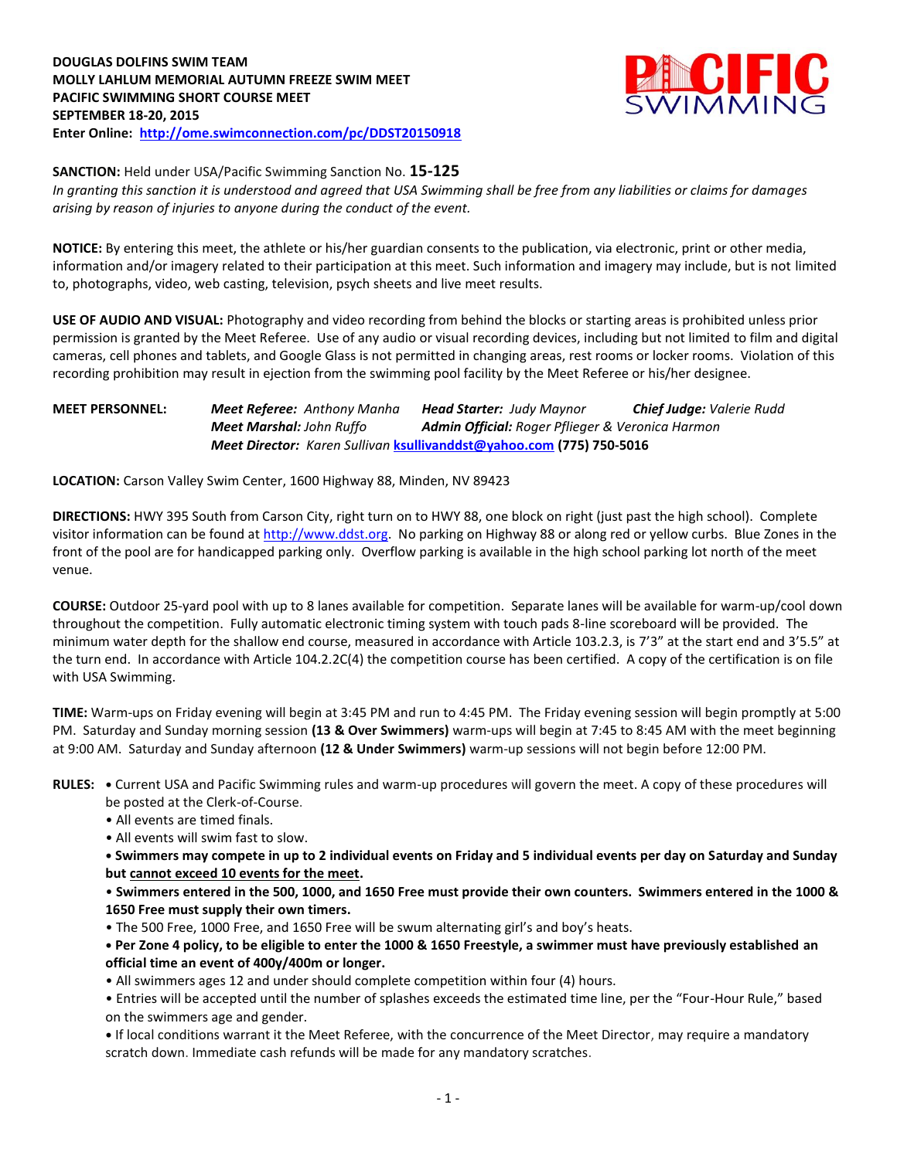

**SANCTION:** Held under USA/Pacific Swimming Sanction No. **15-125**

*In granting this sanction it is understood and agreed that USA Swimming shall be free from any liabilities or claims for damages arising by reason of injuries to anyone during the conduct of the event.*

**NOTICE:** By entering this meet, the athlete or his/her guardian consents to the publication, via electronic, print or other media, information and/or imagery related to their participation at this meet. Such information and imagery may include, but is not limited to, photographs, video, web casting, television, psych sheets and live meet results.

**USE OF AUDIO AND VISUAL:** Photography and video recording from behind the blocks or starting areas is prohibited unless prior permission is granted by the Meet Referee. Use of any audio or visual recording devices, including but not limited to film and digital cameras, cell phones and tablets, and Google Glass is not permitted in changing areas, rest rooms or locker rooms. Violation of this recording prohibition may result in ejection from the swimming pool facility by the Meet Referee or his/her designee.

## **MEET PERSONNEL:** *Meet Referee: Anthony Manha Head Starter: Judy Maynor Chief Judge: Valerie Rudd Meet Marshal: John Ruffo Admin Official: Roger Pflieger & Veronica Harmon Meet Director: Karen Sullivan* **[ksullivanddst@yahoo.com](mailto:ksullivanddst@yahoo.com) (775) 750-5016**

**LOCATION:** Carson Valley Swim Center, 1600 Highway 88, Minden, NV 89423

**DIRECTIONS:** HWY 395 South from Carson City, right turn on to HWY 88, one block on right (just past the high school). Complete visitor information can be found a[t http://www.ddst.org.](http://www.ddst.org/) No parking on Highway 88 or along red or yellow curbs. Blue Zones in the front of the pool are for handicapped parking only. Overflow parking is available in the high school parking lot north of the meet venue.

**COURSE:** Outdoor 25-yard pool with up to 8 lanes available for competition. Separate lanes will be available for warm-up/cool down throughout the competition. Fully automatic electronic timing system with touch pads 8-line scoreboard will be provided. The minimum water depth for the shallow end course, measured in accordance with Article 103.2.3, is 7'3" at the start end and 3'5.5" at the turn end. In accordance with Article 104.2.2C(4) the competition course has been certified. A copy of the certification is on file with USA Swimming.

**TIME:** Warm-ups on Friday evening will begin at 3:45 PM and run to 4:45 PM. The Friday evening session will begin promptly at 5:00 PM. Saturday and Sunday morning session **(13 & Over Swimmers)** warm-ups will begin at 7:45 to 8:45 AM with the meet beginning at 9:00 AM. Saturday and Sunday afternoon **(12 & Under Swimmers)** warm-up sessions will not begin before 12:00 PM.

- **RULES: •** Current USA and Pacific Swimming rules and warm-up procedures will govern the meet. A copy of these procedures will be posted at the Clerk-of-Course.
	- All events are timed finals.

• All events will swim fast to slow.

**• Swimmers may compete in up to 2 individual events on Friday and 5 individual events per day on Saturday and Sunday but cannot exceed 10 events for the meet.**

• **Swimmers entered in the 500, 1000, and 1650 Free must provide their own counters. Swimmers entered in the 1000 & 1650 Free must supply their own timers.**

• The 500 Free, 1000 Free, and 1650 Free will be swum alternating girl's and boy's heats.

**• Per Zone 4 policy, to be eligible to enter the 1000 & 1650 Freestyle, a swimmer must have previously established an official time an event of 400y/400m or longer.**

• All swimmers ages 12 and under should complete competition within four (4) hours.

• Entries will be accepted until the number of splashes exceeds the estimated time line, per the "Four-Hour Rule," based on the swimmers age and gender.

**•** If local conditions warrant it the Meet Referee, with the concurrence of the Meet Director, may require a mandatory scratch down. Immediate cash refunds will be made for any mandatory scratches.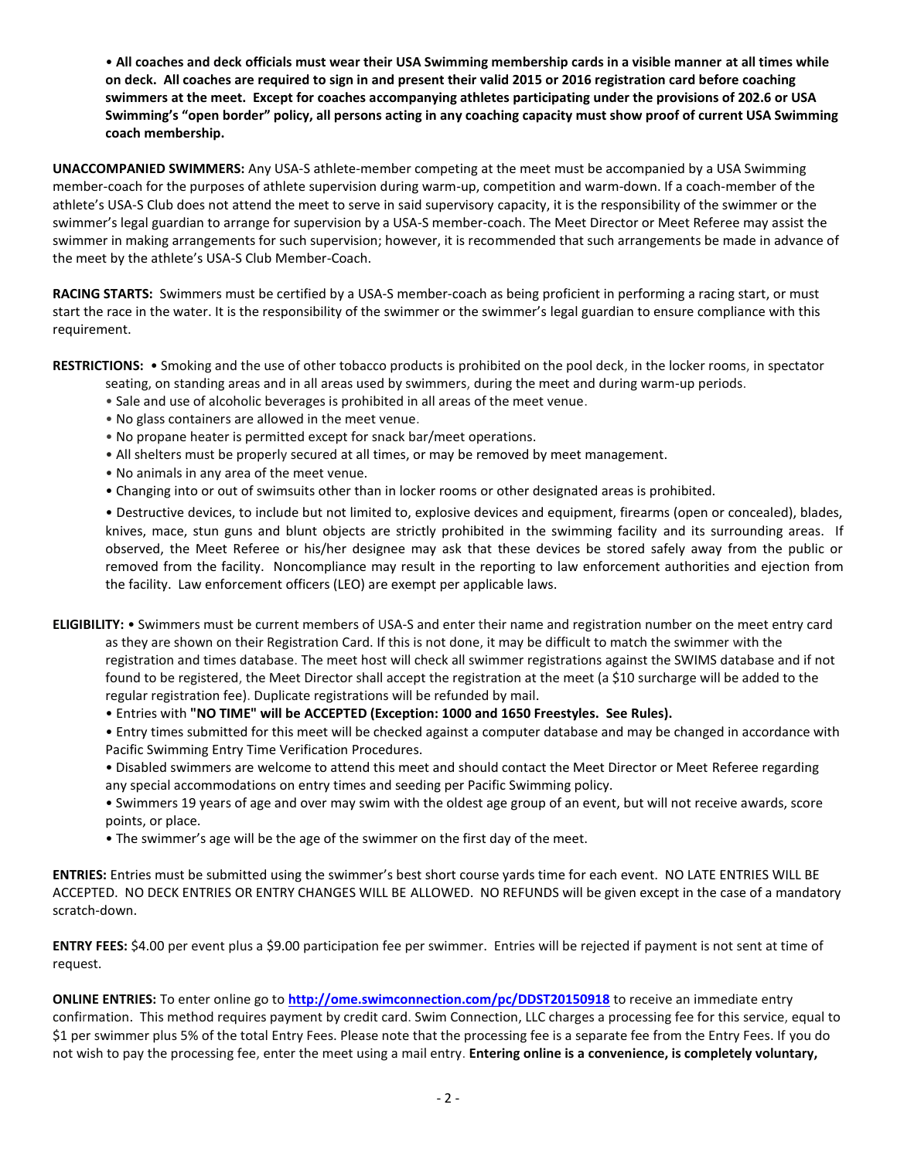• **All coaches and deck officials must wear their USA Swimming membership cards in a visible manner at all times while on deck. All coaches are required to sign in and present their valid 2015 or 2016 registration card before coaching swimmers at the meet. Except for coaches accompanying athletes participating under the provisions of 202.6 or USA Swimming's "open border" policy, all persons acting in any coaching capacity must show proof of current USA Swimming coach membership.**

**UNACCOMPANIED SWIMMERS:** Any USA-S athlete-member competing at the meet must be accompanied by a USA Swimming member-coach for the purposes of athlete supervision during warm-up, competition and warm-down. If a coach-member of the athlete's USA-S Club does not attend the meet to serve in said supervisory capacity, it is the responsibility of the swimmer or the swimmer's legal guardian to arrange for supervision by a USA-S member-coach. The Meet Director or Meet Referee may assist the swimmer in making arrangements for such supervision; however, it is recommended that such arrangements be made in advance of the meet by the athlete's USA-S Club Member-Coach.

**RACING STARTS:** Swimmers must be certified by a USA-S member-coach as being proficient in performing a racing start, or must start the race in the water. It is the responsibility of the swimmer or the swimmer's legal guardian to ensure compliance with this requirement.

**RESTRICTIONS:** • Smoking and the use of other tobacco products is prohibited on the pool deck, in the locker rooms, in spectator

- seating, on standing areas and in all areas used by swimmers, during the meet and during warm-up periods.
- Sale and use of alcoholic beverages is prohibited in all areas of the meet venue.
- No glass containers are allowed in the meet venue.
- No propane heater is permitted except for snack bar/meet operations.
- All shelters must be properly secured at all times, or may be removed by meet management.
- No animals in any area of the meet venue.
- Changing into or out of swimsuits other than in locker rooms or other designated areas is prohibited.

• Destructive devices, to include but not limited to, explosive devices and equipment, firearms (open or concealed), blades, knives, mace, stun guns and blunt objects are strictly prohibited in the swimming facility and its surrounding areas. If observed, the Meet Referee or his/her designee may ask that these devices be stored safely away from the public or removed from the facility. Noncompliance may result in the reporting to law enforcement authorities and ejection from the facility. Law enforcement officers (LEO) are exempt per applicable laws.

**ELIGIBILITY:** • Swimmers must be current members of USA-S and enter their name and registration number on the meet entry card as they are shown on their Registration Card. If this is not done, it may be difficult to match the swimmer with the registration and times database. The meet host will check all swimmer registrations against the SWIMS database and if not found to be registered, the Meet Director shall accept the registration at the meet (a \$10 surcharge will be added to the regular registration fee). Duplicate registrations will be refunded by mail.

• Entries with **"NO TIME" will be ACCEPTED (Exception: 1000 and 1650 Freestyles. See Rules).**

• Entry times submitted for this meet will be checked against a computer database and may be changed in accordance with Pacific Swimming Entry Time Verification Procedures.

- Disabled swimmers are welcome to attend this meet and should contact the Meet Director or Meet Referee regarding any special accommodations on entry times and seeding per Pacific Swimming policy.
- Swimmers 19 years of age and over may swim with the oldest age group of an event, but will not receive awards, score points, or place.
- The swimmer's age will be the age of the swimmer on the first day of the meet.

**ENTRIES:** Entries must be submitted using the swimmer's best short course yards time for each event. NO LATE ENTRIES WILL BE ACCEPTED. NO DECK ENTRIES OR ENTRY CHANGES WILL BE ALLOWED. NO REFUNDS will be given except in the case of a mandatory scratch-down.

**ENTRY FEES:** \$4.00 per event plus a \$9.00 participation fee per swimmer. Entries will be rejected if payment is not sent at time of request.

**ONLINE ENTRIES:** To enter online go to **<http://ome.swimconnection.com/pc/DDST20150918>** to receive an immediate entry confirmation. This method requires payment by credit card. Swim Connection, LLC charges a processing fee for this service, equal to \$1 per swimmer plus 5% of the total Entry Fees. Please note that the processing fee is a separate fee from the Entry Fees. If you do not wish to pay the processing fee, enter the meet using a mail entry. **Entering online is a convenience, is completely voluntary,**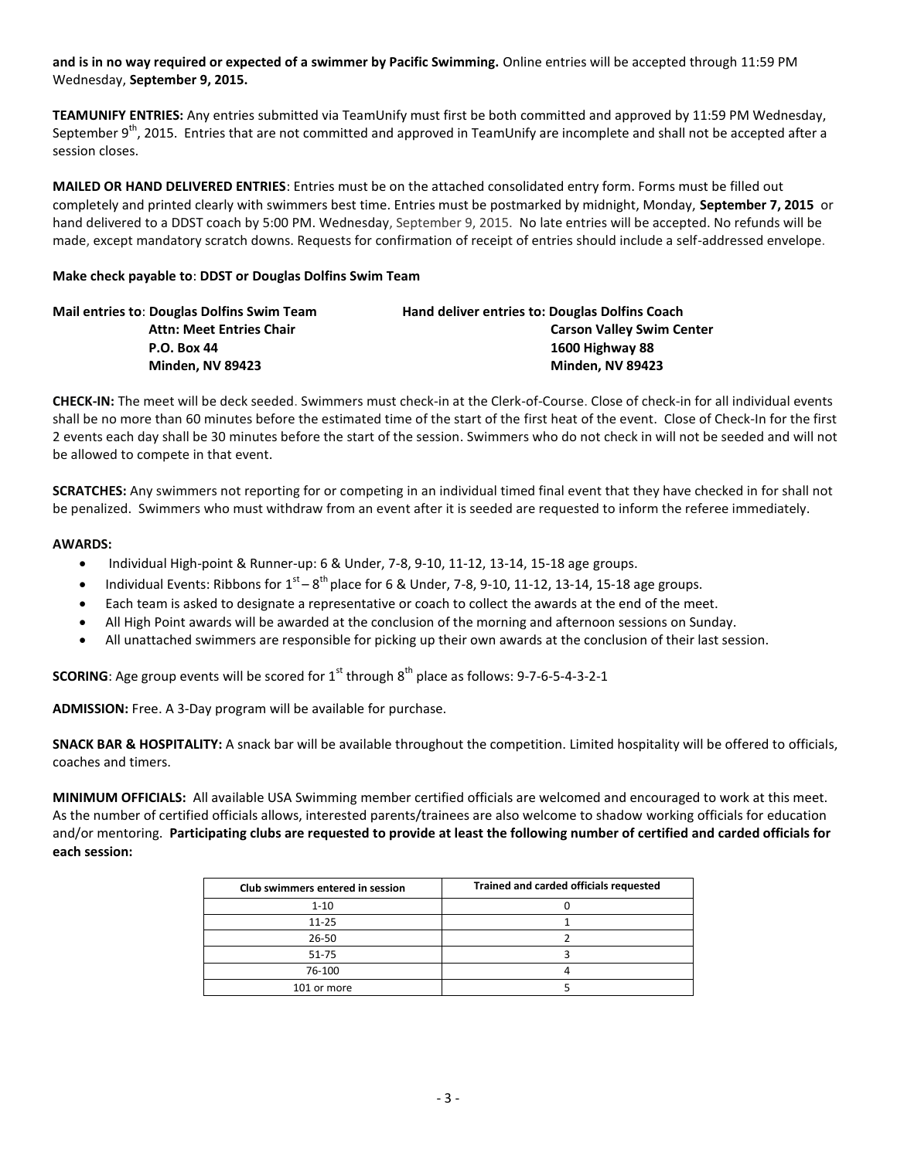**and is in no way required or expected of a swimmer by Pacific Swimming.** Online entries will be accepted through 11:59 PM Wednesday, **September 9, 2015.**

**TEAMUNIFY ENTRIES:** Any entries submitted via TeamUnify must first be both committed and approved by 11:59 PM Wednesday, September 9<sup>th</sup>, 2015. Entries that are not committed and approved in TeamUnify are incomplete and shall not be accepted after a session closes.

**MAILED OR HAND DELIVERED ENTRIES**: Entries must be on the attached consolidated entry form. Forms must be filled out completely and printed clearly with swimmers best time. Entries must be postmarked by midnight, Monday, **September 7, 2015** or hand delivered to a DDST coach by 5:00 PM. Wednesday, September 9, 2015. No late entries will be accepted. No refunds will be made, except mandatory scratch downs. Requests for confirmation of receipt of entries should include a self-addressed envelope.

### **Make check payable to**: **DDST or Douglas Dolfins Swim Team**

| <b>Mail entries to: Douglas Dolfins Swim Team</b> | Hand deliver entries to: Douglas Dolfins Coach |
|---------------------------------------------------|------------------------------------------------|
| <b>Attn: Meet Entries Chair</b>                   | <b>Carson Valley Swim Center</b>               |
| <b>P.O. Box 44</b>                                | 1600 Highway 88                                |
| <b>Minden, NV 89423</b>                           | <b>Minden. NV 89423</b>                        |

**CHECK-IN:** The meet will be deck seeded. Swimmers must check-in at the Clerk-of-Course. Close of check-in for all individual events shall be no more than 60 minutes before the estimated time of the start of the first heat of the event. Close of Check-In for the first 2 events each day shall be 30 minutes before the start of the session. Swimmers who do not check in will not be seeded and will not be allowed to compete in that event.

**SCRATCHES:** Any swimmers not reporting for or competing in an individual timed final event that they have checked in for shall not be penalized. Swimmers who must withdraw from an event after it is seeded are requested to inform the referee immediately.

## **AWARDS:**

- Individual High-point & Runner-up: 6 & Under, 7-8, 9-10, 11-12, 13-14, 15-18 age groups.
- Individual Events: Ribbons for  $1^{st} 8^{th}$  place for 6 & Under, 7-8, 9-10, 11-12, 13-14, 15-18 age groups.
- Each team is asked to designate a representative or coach to collect the awards at the end of the meet.
- All High Point awards will be awarded at the conclusion of the morning and afternoon sessions on Sunday.
- All unattached swimmers are responsible for picking up their own awards at the conclusion of their last session.

**SCORING**: Age group events will be scored for 1<sup>st</sup> through 8<sup>th</sup> place as follows: 9-7-6-5-4-3-2-1

**ADMISSION:** Free. A 3-Day program will be available for purchase.

**SNACK BAR & HOSPITALITY:** A snack bar will be available throughout the competition. Limited hospitality will be offered to officials, coaches and timers.

**MINIMUM OFFICIALS:** All available USA Swimming member certified officials are welcomed and encouraged to work at this meet. As the number of certified officials allows, interested parents/trainees are also welcome to shadow working officials for education and/or mentoring. **Participating clubs are requested to provide at least the following number of certified and carded officials for each session:**

| Club swimmers entered in session | Trained and carded officials requested |
|----------------------------------|----------------------------------------|
| $1 - 10$                         |                                        |
| $11 - 25$                        |                                        |
| $26 - 50$                        |                                        |
| 51-75                            |                                        |
| 76-100                           |                                        |
| 101 or more                      |                                        |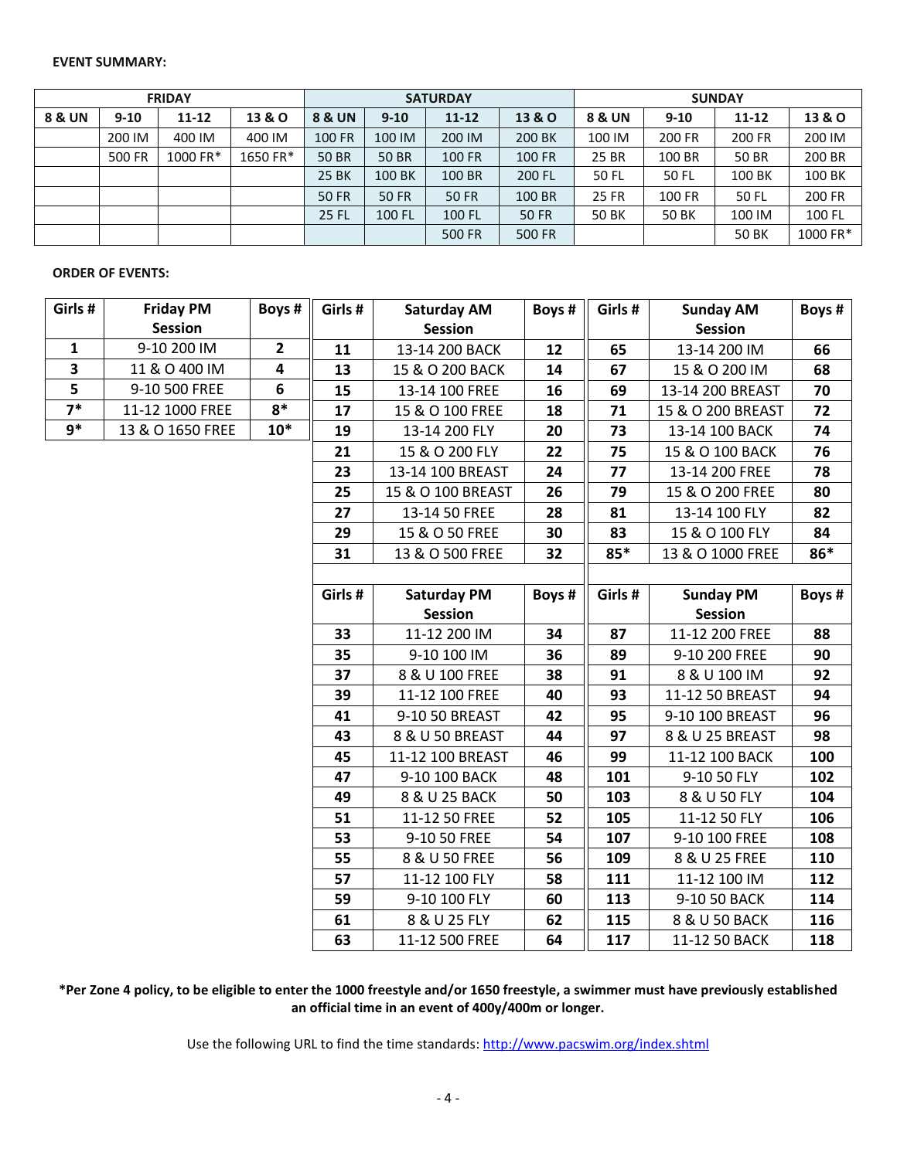#### **EVENT SUMMARY:**

| <b>FRIDAY</b> |          |           |          |                   |              | <b>SATURDAY</b> |                   |              | <b>SUNDAY</b> |           |                   |  |
|---------------|----------|-----------|----------|-------------------|--------------|-----------------|-------------------|--------------|---------------|-----------|-------------------|--|
| 8 & UN        | $9 - 10$ | $11 - 12$ | 13 & O   | <b>8 &amp; UN</b> | $9 - 10$     | $11 - 12$       | <b>13 &amp; O</b> | 8 & UN       | $9 - 10$      | $11 - 12$ | <b>13 &amp; O</b> |  |
|               | 200 IM   | 400 IM    | 400 IM   | <b>100 FR</b>     | 100 IM       | 200 IM          | 200 BK            | 100 IM       | 200 FR        | 200 FR    | 200 IM            |  |
|               | 500 FR   | 1000 FR*  | 1650 FR* | <b>50 BR</b>      | <b>50 BR</b> | <b>100 FR</b>   | <b>100 FR</b>     | 25 BR        | 100 BR        | 50 BR     | 200 BR            |  |
|               |          |           |          | <b>25 BK</b>      | 100 BK       | 100 BR          | 200 FL            | 50 FL        | 50 FL         | 100 BK    | 100 BK            |  |
|               |          |           |          | <b>50 FR</b>      | 50 FR        | <b>50 FR</b>    | 100 BR            | <b>25 FR</b> | <b>100 FR</b> | 50 FL     | 200 FR            |  |
|               |          |           |          | <b>25 FL</b>      | 100 FL       | 100 FL          | 50 FR             | <b>50 BK</b> | <b>50 BK</b>  | 100 IM    | 100 FL            |  |
|               |          |           |          |                   |              | 500 FR          | <b>500 FR</b>     |              |               | 50 BK     | 1000 FR*          |  |

## **ORDER OF EVENTS:**

| Girls#       | <b>Friday PM</b> | Boys #       | Girls#        | <b>Saturday AM</b> | Boys# | Girls #      | <b>Sunday AM</b>  | Boys # |
|--------------|------------------|--------------|---------------|--------------------|-------|--------------|-------------------|--------|
|              | <b>Session</b>   |              |               | <b>Session</b>     |       |              | <b>Session</b>    |        |
| $\mathbf{1}$ | 9-10 200 IM      | $\mathbf{2}$ | 11            | 13-14 200 BACK     | 12    | 65           | 13-14 200 IM      | 66     |
| 3            | 11 & O 400 IM    | 4            | 13            | 15 & O 200 BACK    | 14    | 67           | 15 & O 200 IM     | 68     |
| 5            | 9-10 500 FREE    | 6            | 15            | 13-14 100 FREE     | 16    | 69           | 13-14 200 BREAST  | 70     |
| $7*$         | 11-12 1000 FREE  | $8*$         | 17            | 15 & O 100 FREE    | 18    | 71           | 15 & O 200 BREAST | 72     |
| $9*$         | 13 & O 1650 FREE | $10*$        | 19            | 13-14 200 FLY      | 20    | 73           | 13-14 100 BACK    | 74     |
|              |                  |              | 21            | 15 & O 200 FLY     | 22    | 75           | 15 & O 100 BACK   | 76     |
|              |                  |              | 23            | 13-14 100 BREAST   | 24    | 77           | 13-14 200 FREE    | 78     |
|              |                  |              | 25            | 15 & O 100 BREAST  | 26    | 79           | 15 & O 200 FREE   | 80     |
|              |                  |              | 27            | 13-14 50 FREE      | 28    | 81           | 13-14 100 FLY     | 82     |
|              |                  |              | 29            | 15 & O 50 FREE     | 30    | 83           | 15 & O 100 FLY    | 84     |
|              |                  |              | 31            | 13 & O 500 FREE    | 32    | $85*$        | 13 & O 1000 FREE  | 86*    |
|              |                  |              |               |                    |       |              |                   |        |
|              |                  |              | Girls#        | <b>Saturday PM</b> | Boys# | Girls #      | <b>Sunday PM</b>  | Boys # |
|              |                  |              |               | <b>Session</b>     |       |              | <b>Session</b>    |        |
|              |                  |              | 33            | 11-12 200 IM       | 34    | 87           | 11-12 200 FREE    | 88     |
|              |                  |              | 35            | 9-10 100 IM        | 36    | 89           | 9-10 200 FREE     | 90     |
|              |                  |              | 37            | 8 & U 100 FREE     | 38    | 91           | 8 & U 100 IM      | 92     |
|              |                  |              | 39            | 11-12 100 FREE     | 40    | 93           | 11-12 50 BREAST   | 94     |
|              |                  |              | 41            | 9-10 50 BREAST     | 42    | 95           | 9-10 100 BREAST   | 96     |
|              |                  |              | 43            | 8 & U 50 BREAST    | 44    | 97           | 8 & U 25 BREAST   | 98     |
|              |                  |              | 45            | 11-12 100 BREAST   | 46    | 99           | 11-12 100 BACK    | 100    |
|              |                  |              | 47            | 9-10 100 BACK      | 48    | 101          | 9-10 50 FLY       | 102    |
|              |                  |              | 49            | 8 & U 25 BACK      | 50    | 103          | 8 & U 50 FLY      | 104    |
|              |                  |              | 51            | 11-12 50 FREE      | 52    | 105          | 11-12 50 FLY      | 106    |
|              |                  |              | 53            | 9-10 50 FREE       | 54    | 107          | 9-10 100 FREE     | 108    |
|              |                  |              | 55            | 8 & U 50 FREE      | 56    | 109          | 8 & U 25 FREE     | 110    |
|              |                  | 57           | 11-12 100 FLY | 58                 | 111   | 11-12 100 IM | 112               |        |
|              |                  |              | 59            | 9-10 100 FLY       | 60    | 113          | 9-10 50 BACK      | 114    |
|              |                  |              | 61            | 8 & U 25 FLY       | 62    | 115          | 8 & U 50 BACK     | 116    |
|              |                  |              | 63            | 11-12 500 FREE     | 64    | 117          | 11-12 50 BACK     | 118    |

**\*Per Zone 4 policy, to be eligible to enter the 1000 freestyle and/or 1650 freestyle, a swimmer must have previously established an official time in an event of 400y/400m or longer.**

Use the following URL to find the time standards:<http://www.pacswim.org/index.shtml>